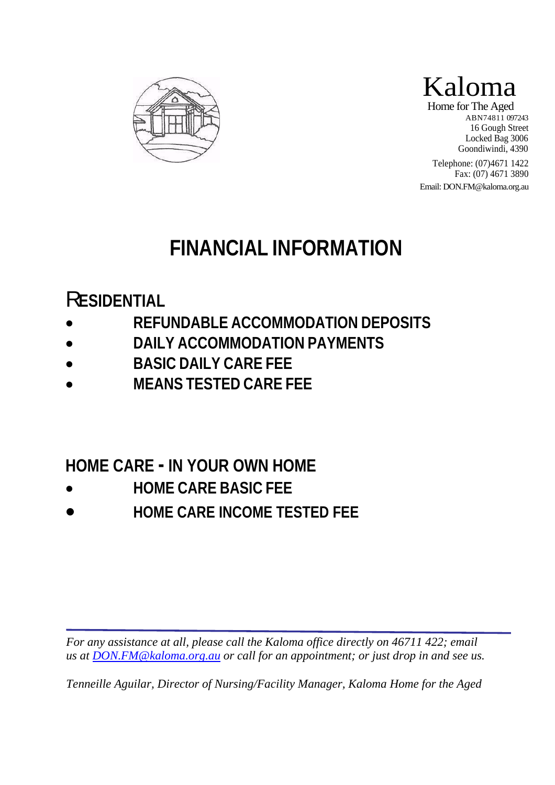



Home for The Aged ABN74811 097243 16 Gough Street Locked Bag 3006 Goondiwindi, 4390

Telephone: (07)4671 1422 Fax: (07) 4671 3890

Email: DON.FM@kaloma.org.au

# **FINANCIAL INFORMATION**

## R**ESIDENTIAL**

 $\overline{a}$ 

- **REFUNDABLE ACCOMMODATION DEPOSITS**
- **DAILY ACCOMMODATION PAYMENTS**
- **BASIC DAILY CARE FEE**
- **MEANS TESTED CARE FEE**

## **HOME CARE - IN YOUR OWN HOME**

- **HOME CARE BASIC FEE**
- **HOME CARE INCOME TESTED FEE**

*For any assistance at all, please call the Kaloma office directly on 46711 422; email us at DON.FM@kaloma.org.au or call for an appointment; or just drop in and see us.* 

*Tenneille Aguilar, Director of Nursing/Facility Manager, Kaloma Home for the Aged*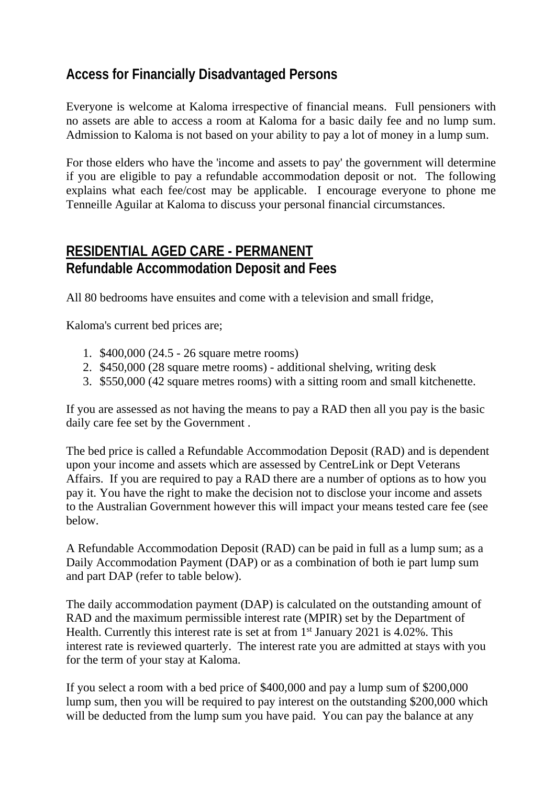## **Access for Financially Disadvantaged Persons**

Everyone is welcome at Kaloma irrespective of financial means. Full pensioners with no assets are able to access a room at Kaloma for a basic daily fee and no lump sum. Admission to Kaloma is not based on your ability to pay a lot of money in a lump sum.

For those elders who have the 'income and assets to pay' the government will determine if you are eligible to pay a refundable accommodation deposit or not. The following explains what each fee/cost may be applicable. I encourage everyone to phone me Tenneille Aguilar at Kaloma to discuss your personal financial circumstances.

#### **RESIDENTIAL AGED CARE - PERMANENT Refundable Accommodation Deposit and Fees**

All 80 bedrooms have ensuites and come with a television and small fridge,

Kaloma's current bed prices are;

- 1. \$400,000 (24.5 26 square metre rooms)
- 2. \$450,000 (28 square metre rooms) additional shelving, writing desk
- 3. \$550,000 (42 square metres rooms) with a sitting room and small kitchenette.

If you are assessed as not having the means to pay a RAD then all you pay is the basic daily care fee set by the Government .

The bed price is called a Refundable Accommodation Deposit (RAD) and is dependent upon your income and assets which are assessed by CentreLink or Dept Veterans Affairs. If you are required to pay a RAD there are a number of options as to how you pay it. You have the right to make the decision not to disclose your income and assets to the Australian Government however this will impact your means tested care fee (see below.

A Refundable Accommodation Deposit (RAD) can be paid in full as a lump sum; as a Daily Accommodation Payment (DAP) or as a combination of both ie part lump sum and part DAP (refer to table below).

The daily accommodation payment (DAP) is calculated on the outstanding amount of RAD and the maximum permissible interest rate (MPIR) set by the Department of Health. Currently this interest rate is set at from  $1<sup>st</sup>$  January 2021 is 4.02%. This interest rate is reviewed quarterly. The interest rate you are admitted at stays with you for the term of your stay at Kaloma.

If you select a room with a bed price of \$400,000 and pay a lump sum of \$200,000 lump sum, then you will be required to pay interest on the outstanding \$200,000 which will be deducted from the lump sum you have paid. You can pay the balance at any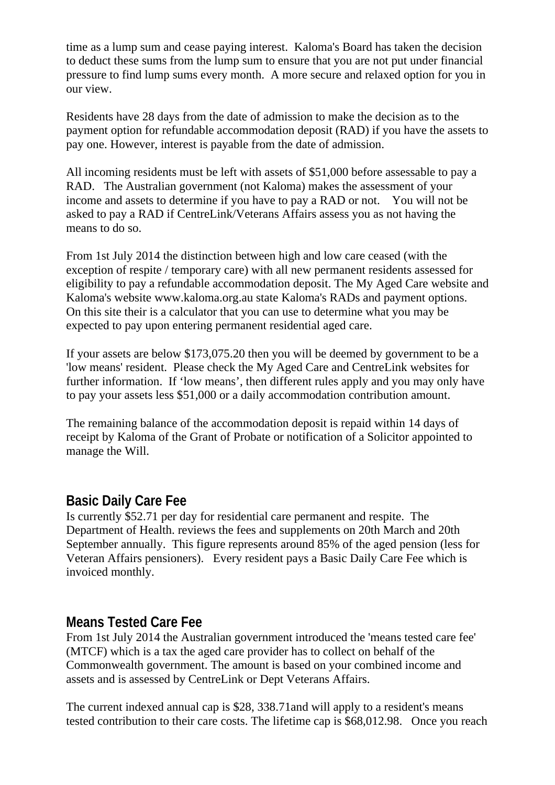time as a lump sum and cease paying interest. Kaloma's Board has taken the decision to deduct these sums from the lump sum to ensure that you are not put under financial pressure to find lump sums every month. A more secure and relaxed option for you in our view.

Residents have 28 days from the date of admission to make the decision as to the payment option for refundable accommodation deposit (RAD) if you have the assets to pay one. However, interest is payable from the date of admission.

All incoming residents must be left with assets of \$51,000 before assessable to pay a RAD. The Australian government (not Kaloma) makes the assessment of your income and assets to determine if you have to pay a RAD or not. You will not be asked to pay a RAD if CentreLink/Veterans Affairs assess you as not having the means to do so.

From 1st July 2014 the distinction between high and low care ceased (with the exception of respite / temporary care) with all new permanent residents assessed for eligibility to pay a refundable accommodation deposit. The My Aged Care website and Kaloma's website www.kaloma.org.au state Kaloma's RADs and payment options. On this site their is a calculator that you can use to determine what you may be expected to pay upon entering permanent residential aged care.

If your assets are below \$173,075.20 then you will be deemed by government to be a 'low means' resident. Please check the My Aged Care and CentreLink websites for further information. If 'low means', then different rules apply and you may only have to pay your assets less \$51,000 or a daily accommodation contribution amount.

The remaining balance of the accommodation deposit is repaid within 14 days of receipt by Kaloma of the Grant of Probate or notification of a Solicitor appointed to manage the Will.

#### **Basic Daily Care Fee**

Is currently \$52.71 per day for residential care permanent and respite. The Department of Health. reviews the fees and supplements on 20th March and 20th September annually. This figure represents around 85% of the aged pension (less for Veteran Affairs pensioners). Every resident pays a Basic Daily Care Fee which is invoiced monthly.

#### **Means Tested Care Fee**

From 1st July 2014 the Australian government introduced the 'means tested care fee' (MTCF) which is a tax the aged care provider has to collect on behalf of the Commonwealth government. The amount is based on your combined income and assets and is assessed by CentreLink or Dept Veterans Affairs.

The current indexed annual cap is \$28, 338.71and will apply to a resident's means tested contribution to their care costs. The lifetime cap is \$68,012.98. Once you reach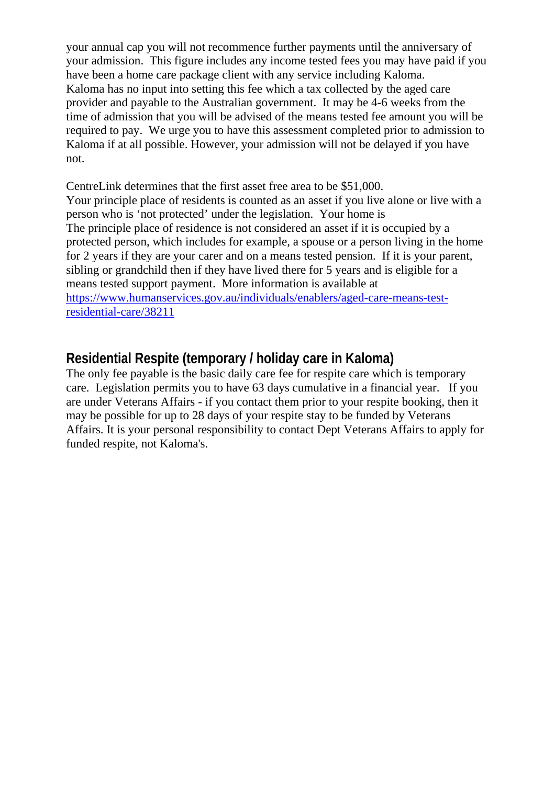your annual cap you will not recommence further payments until the anniversary of your admission. This figure includes any income tested fees you may have paid if you have been a home care package client with any service including Kaloma. Kaloma has no input into setting this fee which a tax collected by the aged care provider and payable to the Australian government. It may be 4-6 weeks from the time of admission that you will be advised of the means tested fee amount you will be required to pay. We urge you to have this assessment completed prior to admission to Kaloma if at all possible. However, your admission will not be delayed if you have not.

CentreLink determines that the first asset free area to be \$51,000. Your principle place of residents is counted as an asset if you live alone or live with a person who is 'not protected' under the legislation. Your home is The principle place of residence is not considered an asset if it is occupied by a protected person, which includes for example, a spouse or a person living in the home for 2 years if they are your carer and on a means tested pension. If it is your parent, sibling or grandchild then if they have lived there for 5 years and is eligible for a means tested support payment. More information is available at https://www.humanservices.gov.au/individuals/enablers/aged-care-means-testresidential-care/38211

#### **Residential Respite (temporary / holiday care in Kaloma)**

The only fee payable is the basic daily care fee for respite care which is temporary care. Legislation permits you to have 63 days cumulative in a financial year. If you are under Veterans Affairs - if you contact them prior to your respite booking, then it may be possible for up to 28 days of your respite stay to be funded by Veterans Affairs. It is your personal responsibility to contact Dept Veterans Affairs to apply for funded respite, not Kaloma's.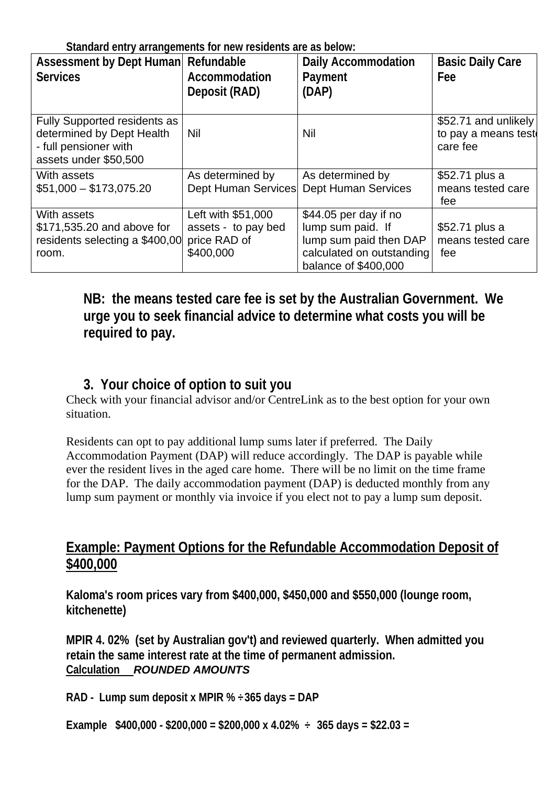**Standard entry arrangements for new residents are as below:** 

| <b>Assessment by Dept Human</b><br><b>Services</b>                                                                 | Refundable<br>Accommodation<br>Deposit (RAD)                           | <b>Daily Accommodation</b><br>Payment<br>(DAP)                                                                            | <b>Basic Daily Care</b><br>Fee                          |
|--------------------------------------------------------------------------------------------------------------------|------------------------------------------------------------------------|---------------------------------------------------------------------------------------------------------------------------|---------------------------------------------------------|
| <b>Fully Supported residents as</b><br>determined by Dept Health<br>- full pensioner with<br>assets under \$50,500 | Nil                                                                    | Nil                                                                                                                       | \$52.71 and unlikely<br>to pay a means test<br>care fee |
| With assets<br>$$51,000 - $173,075.20$                                                                             | As determined by<br><b>Dept Human Services</b>                         | As determined by<br><b>Dept Human Services</b>                                                                            | \$52.71 plus a<br>means tested care<br>fee              |
| With assets<br>\$171,535.20 and above for<br>residents selecting a \$400,00<br>room.                               | Left with \$51,000<br>assets - to pay bed<br>price RAD of<br>\$400,000 | \$44.05 per day if no<br>lump sum paid. If<br>lump sum paid then DAP<br>calculated on outstanding<br>balance of \$400,000 | \$52.71 plus a<br>means tested care<br>fee              |

## **NB: the means tested care fee is set by the Australian Government. We urge you to seek financial advice to determine what costs you will be required to pay.**

## **3. Your choice of option to suit you**

Check with your financial advisor and/or CentreLink as to the best option for your own situation.

Residents can opt to pay additional lump sums later if preferred. The Daily Accommodation Payment (DAP) will reduce accordingly. The DAP is payable while ever the resident lives in the aged care home. There will be no limit on the time frame for the DAP. The daily accommodation payment (DAP) is deducted monthly from any lump sum payment or monthly via invoice if you elect not to pay a lump sum deposit.

#### **Example: Payment Options for the Refundable Accommodation Deposit of \$400,000**

**Kaloma's room prices vary from \$400,000, \$450,000 and \$550,000 (lounge room, kitchenette)** 

**MPIR 4. 02% (set by Australian gov't) and reviewed quarterly. When admitted you retain the same interest rate at the time of permanent admission. Calculation** *ROUNDED AMOUNTS* 

**RAD - Lump sum deposit x MPIR % ÷365 days = DAP** 

**Example \$400,000 - \$200,000 = \$200,000 x 4.02% ÷ 365 days = \$22.03 =**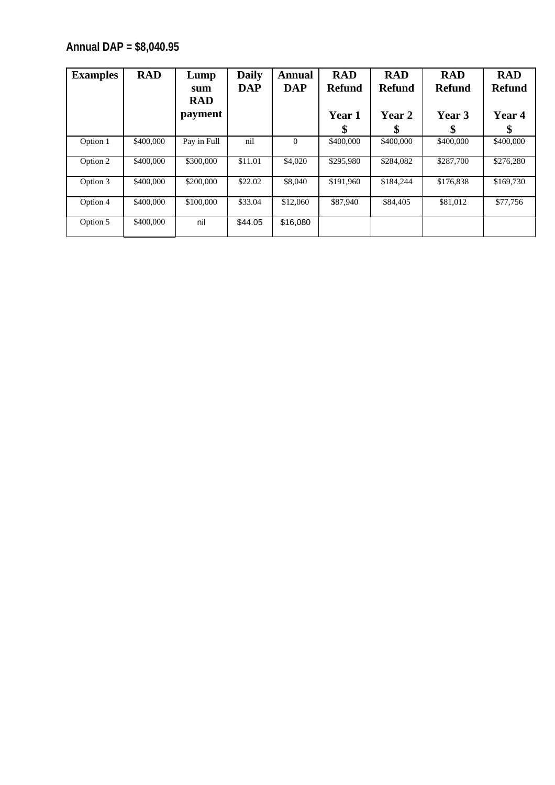**Annual DAP = \$8,040.95** 

| <b>Examples</b> | <b>RAD</b> | Lump<br>sum<br><b>RAD</b> | <b>Daily</b><br>DAP | <b>Annual</b><br><b>DAP</b> | <b>RAD</b><br><b>Refund</b> | <b>RAD</b><br><b>Refund</b> | <b>RAD</b><br><b>Refund</b> | <b>RAD</b><br><b>Refund</b> |
|-----------------|------------|---------------------------|---------------------|-----------------------------|-----------------------------|-----------------------------|-----------------------------|-----------------------------|
|                 |            | payment                   |                     |                             | <b>Year 1</b>               | Year 2                      | Year 3                      | Year 4                      |
|                 |            |                           |                     |                             | \$                          |                             | ۰TD.                        | \$                          |
| Option 1        | \$400,000  | Pay in Full               | nil                 | $\Omega$                    | \$400,000                   | \$400,000                   | \$400,000                   | \$400,000                   |
| Option 2        | \$400,000  | \$300,000                 | \$11.01             | \$4,020                     | \$295,980                   | \$284,082                   | \$287,700                   | \$276,280                   |
| Option 3        | \$400,000  | \$200,000                 | \$22.02             | \$8,040                     | \$191.960                   | \$184,244                   | \$176.838                   | \$169,730                   |
| Option 4        | \$400,000  | \$100,000                 | \$33.04             | \$12,060                    | \$87,940                    | \$84,405                    | \$81,012                    | \$77,756                    |
| Option 5        | \$400,000  | nil                       | \$44.05             | \$16,080                    |                             |                             |                             |                             |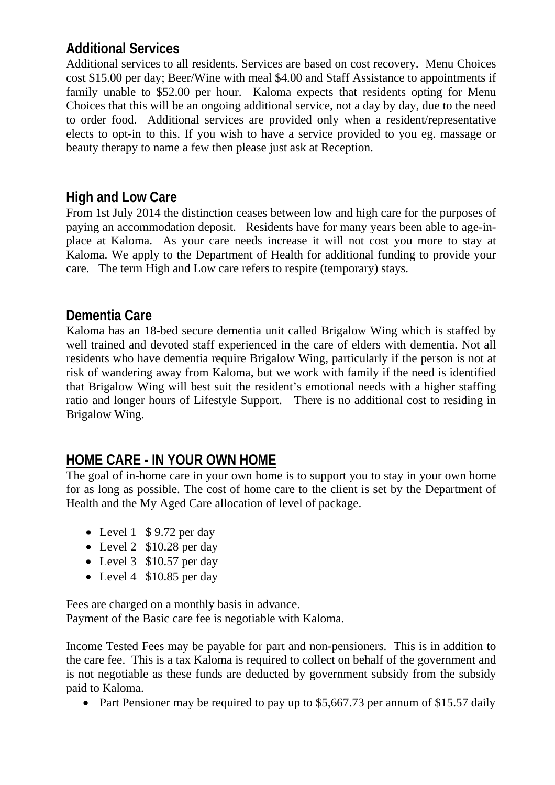## **Additional Services**

Additional services to all residents. Services are based on cost recovery. Menu Choices cost \$15.00 per day; Beer/Wine with meal \$4.00 and Staff Assistance to appointments if family unable to \$52.00 per hour. Kaloma expects that residents opting for Menu Choices that this will be an ongoing additional service, not a day by day, due to the need to order food. Additional services are provided only when a resident/representative elects to opt-in to this. If you wish to have a service provided to you eg. massage or beauty therapy to name a few then please just ask at Reception.

#### **High and Low Care**

From 1st July 2014 the distinction ceases between low and high care for the purposes of paying an accommodation deposit. Residents have for many years been able to age-inplace at Kaloma. As your care needs increase it will not cost you more to stay at Kaloma. We apply to the Department of Health for additional funding to provide your care. The term High and Low care refers to respite (temporary) stays.

#### **Dementia Care**

Kaloma has an 18-bed secure dementia unit called Brigalow Wing which is staffed by well trained and devoted staff experienced in the care of elders with dementia. Not all residents who have dementia require Brigalow Wing, particularly if the person is not at risk of wandering away from Kaloma, but we work with family if the need is identified that Brigalow Wing will best suit the resident's emotional needs with a higher staffing ratio and longer hours of Lifestyle Support. There is no additional cost to residing in Brigalow Wing.

## **HOME CARE - IN YOUR OWN HOME**

The goal of in-home care in your own home is to support you to stay in your own home for as long as possible. The cost of home care to the client is set by the Department of Health and the My Aged Care allocation of level of package.

- Level 1  $$ 9.72$  per day
- $\bullet$  Level 2 \$10.28 per day
- $\bullet$  Level 3 \$10.57 per day
- $\bullet$  Level 4 \$10.85 per day

Fees are charged on a monthly basis in advance. Payment of the Basic care fee is negotiable with Kaloma.

Income Tested Fees may be payable for part and non-pensioners. This is in addition to the care fee. This is a tax Kaloma is required to collect on behalf of the government and is not negotiable as these funds are deducted by government subsidy from the subsidy paid to Kaloma.

• Part Pensioner may be required to pay up to \$5,667.73 per annum of \$15.57 daily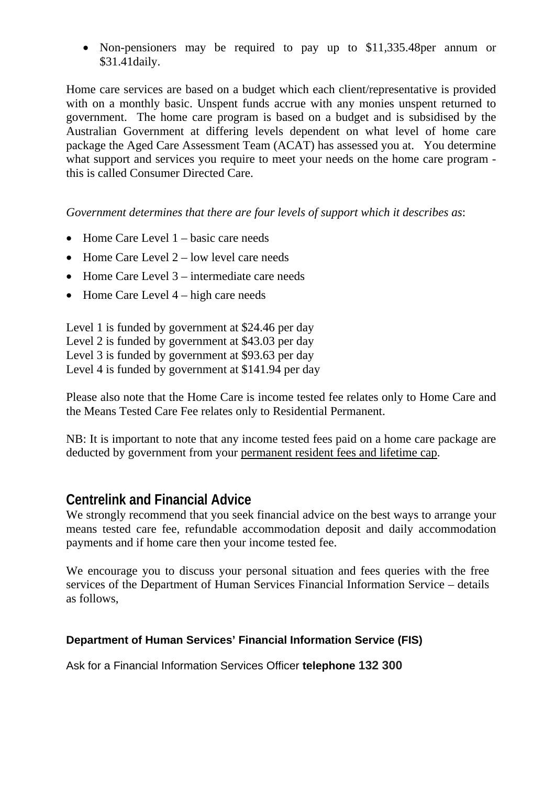• Non-pensioners may be required to pay up to \$11,335.48 per annum or \$31.41daily.

Home care services are based on a budget which each client/representative is provided with on a monthly basic. Unspent funds accrue with any monies unspent returned to government. The home care program is based on a budget and is subsidised by the Australian Government at differing levels dependent on what level of home care package the Aged Care Assessment Team (ACAT) has assessed you at. You determine what support and services you require to meet your needs on the home care program this is called Consumer Directed Care.

*Government determines that there are four levels of support which it describes as*:

- $\bullet$  Home Care Level 1 basic care needs
- $\bullet$  Home Care Level 2 low level care needs
- $\bullet$  Home Care Level 3 intermediate care needs
- $\bullet$  Home Care Level 4 high care needs

Level 1 is funded by government at \$24.46 per day Level 2 is funded by government at \$43.03 per day Level 3 is funded by government at \$93.63 per day Level 4 is funded by government at \$141.94 per day

Please also note that the Home Care is income tested fee relates only to Home Care and the Means Tested Care Fee relates only to Residential Permanent.

NB: It is important to note that any income tested fees paid on a home care package are deducted by government from your permanent resident fees and lifetime cap.

#### **Centrelink and Financial Advice**

We strongly recommend that you seek financial advice on the best ways to arrange your means tested care fee, refundable accommodation deposit and daily accommodation payments and if home care then your income tested fee.

We encourage you to discuss your personal situation and fees queries with the free services of the Department of Human Services Financial Information Service – details as follows,

#### **Department of Human Services' Financial Information Service (FIS)**

Ask for a Financial Information Services Officer **telephone 132 300**